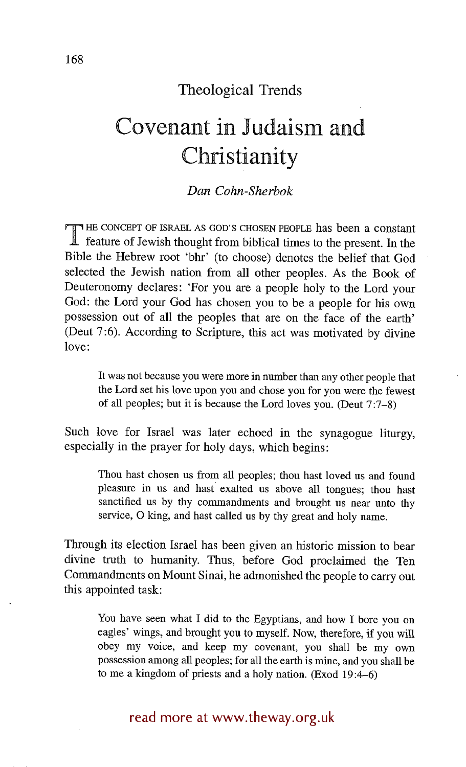## **Theological Trends**

# **Covenant in Judaism and Christianity**

### *Dan Cohn-Sherbok*

THE CONCEPT OF ISRAEL AS GOD'S CHOSEN PEOPLE has been a constant feature of Jewish thought from biblical times to the present. In the Bible the Hebrew root 'bhr' (to choose) denotes the belief that God selected the Jewish nation from all other peoples. As the Book of Deuteronomy declares: 'For you are a people holy to the Lord your God: the Lord your God has chosen you to be a people for his own possession out of all the peoples that are on the face of the earth' (Deut 7:6). According to Scripture, this act was motivated by divine love:

It was not because you were more in number than any other people that the Lord set his love upon you and chose you for you were the fewest of all peoples; but it is because the Lord loves you. (Deut 7:7-8)

Such love for Israel was later echoed in the synagogue liturgy, especially in the prayer for holy days, which begins:

Thou hast chosen us from all peoples; thou hast loved us and found pleasure in us and hast exalted us above all tongues; thou hast sanctified us by thy commandments and brought us near unto thy service, O king, and hast called us by thy great and holy name.

Through its election Israel has been given an historic mission to bear divine truth to humanity. Thus, before God proclaimed the Ten Commandments on Mount Sinai, he admonished the people to carry out this appointed task:

You have seen what I did to the Egyptians, and how I bore you on eagles' wings, and brought you to myself. Now, therefore, if you will obey my voice, and keep my covenant, you shall be my own possession among all peoples; for all the earth is mine, and you shall be to me a kingdom of priests and a holy nation. (Exod 19:4-6)

## read more at www.theway.org.uk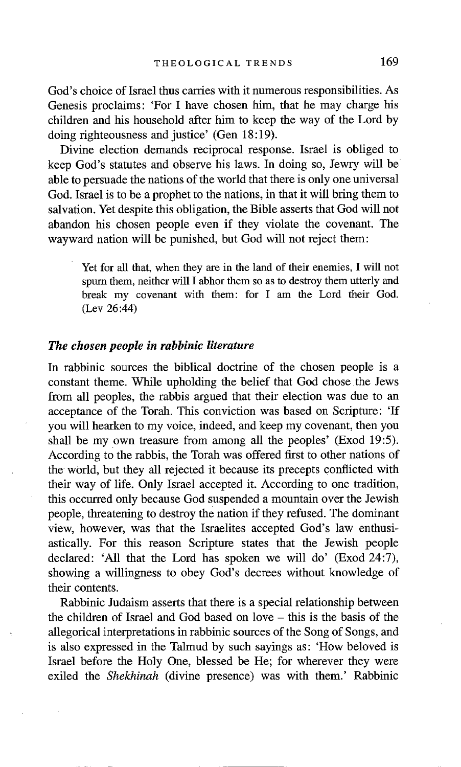God's choice of Israel thus carries with it numerous responsibilities. As Genesis proclaims: 'For I have chosen him, that he may charge his children and his household after him to keep the way of the Lord by doing righteousness and justice' (Gen 18:19).

Divine election demands reciprocal response. Israel is obliged to keep God's statutes and observe his laws. In doing so, Jewry will be able to persuade the nations of the world that there is only one universal God. Israel is to be a prophet to the nations, in that it will bring them to salvation. Yet despite this obligation, the Bible asserts that God will not abandon his chosen people even if they violate the covenant. The wayward nation will be punished, but God will not reject them:

Yet for all that, when they are in the land of their enemies, I will not spurn them, neither will I abhor them so as to destroy them utterly and break my covenant with them: for I am the Lord their God. (Lev 26:44)

#### *The chosen people in rabbinic literature*

In rabbinic sources the biblical doctrine of the chosen people is a constant theme. While upholding the belief that God chose the Jews from all peoples, the rabbis argued that their election was due to an acceptance of the Torah. This conviction was based on Scripture: 'If you will hearken to my voice, indeed, and keep my covenant, then you shall be my own treasure from among all the peoples' (Exod 19:5). According to the rabbis, the Torah was offered first to other nations of the world, but they all rejected it because its precepts conflicted with their way of life. Only Israel accepted it. According to one tradition, this occurred only because God suspended a mountain over the Jewish people, threatening to destroy the nation if they refused. The dominant view, however, was that the Israelites accepted God's law enthusiastically. For this reason Scripture states that the Jewish people declared: 'All that the Lord has spoken we will do' (Exod 24:7), showing a willingness to obey God's decrees without knowledge of their contents.

Rabbinic Judaism asserts that there is a special relationship between the children of Israel and God based on love - this is the basis of the allegorical interpretations in rabbinic sources of the Song of Songs, and is also expressed in the Talmud by such sayings as: 'How beloved is Israel before the Holy One, blessed be He; for wherever they were exiled the *Shekhinah* (divine presence) was with them.' Rabbinic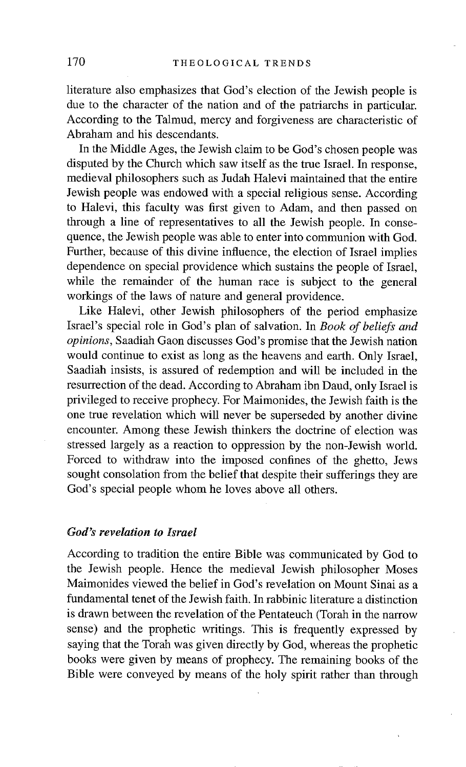literature also emphasizes that God's election of the Jewish people is due to the character of the nation and of the patriarchs in particular. According to the Talmud, mercy and forgiveness are characteristic of Abraham and his descendants.

In the Middle Ages, the Jewish claim to be God's chosen people was disputed by the Church which saw itself as the true Israel. In response, medieval philosophers such as Judah Halevi maintained that the entire Jewish people was endowed with a special religious sense. According to Halevi, this faculty was first given to Adam, and then passed on through a line of representatives to all the Jewish people. In consequence, the Jewish people was able to enter into communion with God. Further, because of this divine influence, the election of Israel implies dependence on special providence which sustains the people of Israel, while the remainder of the human race is subject to the general workings of the laws of nature and general providence.

Like Halevi, other Jewish philosophers of the period emphasize Israel's special role in God's plan of salvation. In *Book of beliefs and opinions,* Saadiah Gaon discusses God's promise that the Jewish nation would continue to exist as long as the heavens and earth. Only Israel, Saadiah insists, is assured of redemption and will be included in the resurrection of the dead. According to Abraham ibn Daud, only Israel is privileged to receive prophecy. For Maimonides, the Jewish faith is the one true revelation which will never be superseded by another divine encounter. Among these Jewish thinkers the doctrine of election was stressed largely as a reaction to oppression by the non-Jewish world. Forced to withdraw into the imposed confines of the ghetto, Jews sought consolation from the belief that despite their sufferings they are God's special people whom he loves above all others.

#### *God's revelation to Israel*

According to tradition the entire Bible was communicated by God to the Jewish people. Hence the medieval Jewish philosopher Moses Maimonides viewed the belief in God's revelation on Mount Sinai as a fundamental tenet of the Jewish faith. In rabbinic literature a distinction is drawn between the revelation of the Pentateuch (Torah in the narrow sense) and the prophetic writings. This is frequently expressed by saying that the Torah was given directly by God, whereas the prophetic books were given by means of prophecy. The remaining books of the Bible were conveyed by means of the holy spirit rather than through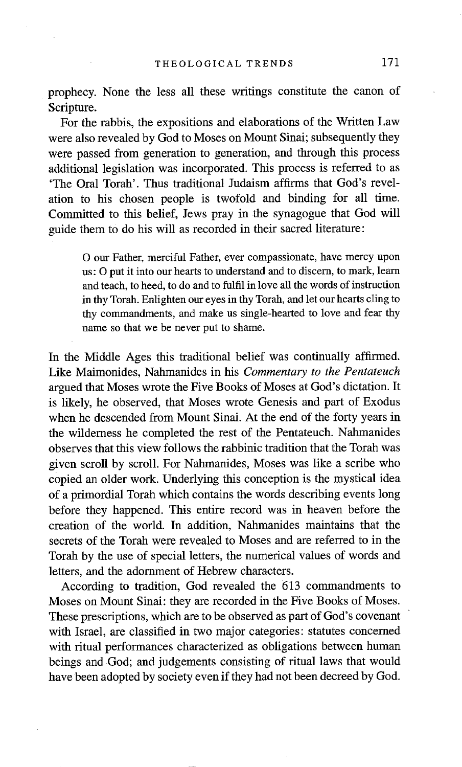prophecy. None the less all these writings constitute the canon of Scripture.

For the rabbis, the expositions and elaborations of the Written Law were also revealed by God to Moses on Mount Sinai; subsequently they were passed from generation to generation, and through this process additional legislation was incorporated. This process is referred to as 'The Oral Torah'. Thus traditional Judaism affirms that God's revelation to his chosen people is twofold and binding for all time. Committed to this belief, Jews pray in the synagogue that God will guide them to do his will as recorded in their sacred literature:

O our Father, merciful Father, ever compassionate, have mercy upon us: O put it into our hearts to understand and to discern, to mark, learn and teach, to heed, to do and to fulfil in love all the words of instruction in thy Torah. Enlighten our eyes in thy Torah, and let our hearts cling to thy commandments, and make us single-hearted to love and fear thy name so that we be never put to shame.

In the Middle Ages this traditional belief was continually affirmed. Like Maimonides, Nahmanides in his *Commentary to the Pentateuch*  argued that Moses wrote the Five Books of Moses at God's dictation. It is likely, he observed, that Moses wrote Genesis and part of Exodus when he descended from Mount Sinai. At the end of the forty years in the wildemess he completed the rest of the Pentateuch. Nahmanides observes that this view follows the rabbinic tradition that the Torah was given scroll by scroll. For Nahmanides, Moses was like a scribe who copied an older work. Underlying this conception is the mystical idea of a primordial Torah which contains the words describing events long before they happened. This entire record was in heaven before the creation of the world. In addition, Nahmanides maintains that the secrets of the Torah were revealed to Moses and are referred to in the Torah by the use of special letters, the numerical values of words and letters, and the adornment of Hebrew characters.

According to tradition, God revealed the 613 commandments to Moses on Mount Sinai: they are recorded in the Five Books of Moses. These prescriptions, which are to be observed as part of God's covenant with Israel, are classified in two major categories: statutes concerned with ritual performances characterized as obligations between human beings and God; and judgements consisting of ritual laws that would have been adopted by society even if they had not been decreed by God.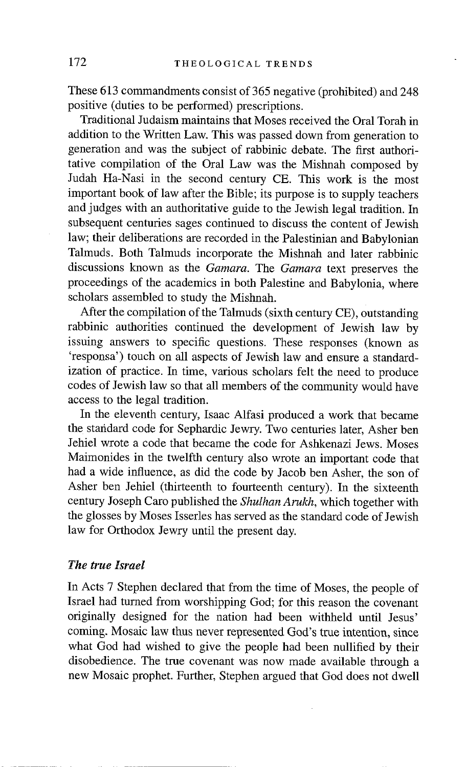These 613 commandments consist of 365 negative (prohibited) and 248 positive (duties to be performed) prescriptions.

Traditional Judaism maintains that Moses received the Oral Torah in addition to the Written Law. This was passed down from generation to generation and was the subject of rabbinic debate. The first authoritative compilation of the Oral Law was the Mishnah composed by Judah Ha-Nasi in the second century CE. This work is the most important book of law after the Bible; its purpose is to supply teachers and judges with an authoritative guide to the Jewish legal tradition. In subsequent centuries sages continued to discuss the content of Jewish law; their deliberations are recorded in the Palestinian and Babylonian Talmuds. Both Talmuds incorporate the Mishnah and later rabbinic discussions known as the *Garnara.* The *Garnara* text preserves the proceedings of the academics in both Palestine and Babylonia, where scholars assembled to study the Mishnah.

After the compilation of the Talmuds (sixth century CE), outstanding rabbinic authorities continued the development of Jewish law by issuing answers to specific questions. These responses (known as 'responsa') touch on all aspects of Jewish law and ensure a standardization of practice. In time, various scholars felt the need to produce codes of Jewish law so that all members of the community would have access to the legal tradition.

In the eleventh century, Isaac Alfasi produced a work that became the staridard code for Sephardic Jewry. Two centuries later, Asher ben Jehiel wrote a code that became the code for Ashkenazi Jews. Moses Maimonides in the twelfth century also wrote an important code that had a wide influence, as did the code by Jacob ben Asher, the son of Asher ben Jehiel (thirteenth to fourteenth century). In the sixteenth century Joseph Caro published the *Shulhan Arukh*, which together with the glosses by Moses Isserles has served as the standard code of Jewish law for Orthodox Jewry until the present day.

#### *The true Israel*

In Acts 7 Stephen declared that from the time of Moses, the people of Israel had turned from worshipping God; for this reason the covenant originally designed for the nation had been withheld until Jesus' coming. Mosaic law thus never represented God's true intention, since what God had wished to give the people had been nullified by their disobedience. The true covenant was now made available through a new Mosaic prophet. Further, Stephen argued that God does not dwell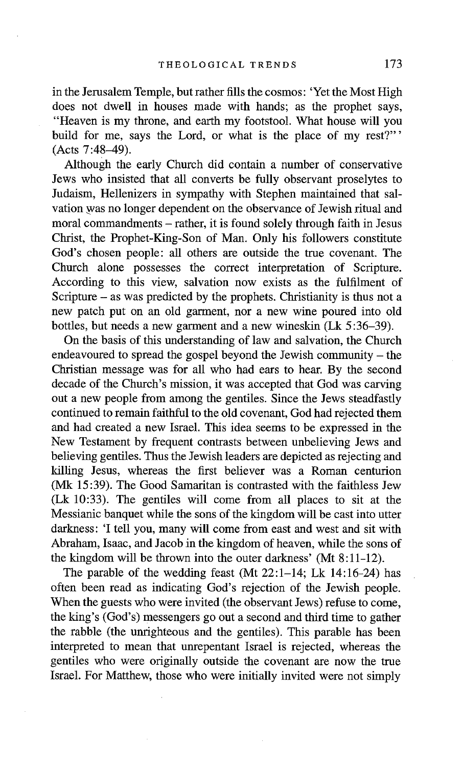in the Jerusalem Temple, but rather fills the cosmos: 'Yet the Most High does not dwell in houses made with hands; as the prophet says, "Heaven is my throne, and earth my footstool. What house will you build for me, says the Lord, or what is the place of my rest?"' (Acts 7:48-49).

Although the early Church did contain a number of conservative Jews who insisted that all converts be fully observant proselytes to Judaism, Hellenizers in sympathy with Stephen maintained that salvation was no longer dependent on the observance of Jewish ritual and moral commandments – rather, it is found solely through faith in Jesus Christ, the Prophet-King-Son of Man. Only his followers constitute God's chosen people: all others are outside the true covenant. The Church alone possesses the correct interpretation of Scripture. According to this view, salvation now exists as the fulfilment of Scripture - as was predicted by the prophets. Christianity is thus not a new patch put on an old garment, nor a new wine poured into old bottles, but needs a new garment and a new wineskin (Lk 5:36-39).

On the basis of this understanding of law and salvation, the Church endeavoured to spread the gospel beyond the Jewish community  $-$  the Christian message was for all who had ears to hear. By the second decade of the Church's mission, it was accepted that God was carving out a new people from among the gentiles. Since the Jews steadfastly continued to remain faithful to the old covenant, God had rejected them and had created a new Israel. This idea seems to be expressed in the New Testament by frequent contrasts between unbelieving Jews and believing gentiles. Thus the Jewish leaders are depicted as rejecting and killing Jesus, whereas the first believer was a Roman centurion (Mk 15:39). The Good Samaritan is contrasted with the faithless Jew (Lk 10:33). The gentiles will come from all places to sit at the Messianic banquet while the sons of the kingdom will be cast into utter darkness: 'I tell you, many will come from east and west and sit with Abraham, Isaac, and Jacob in the kingdom of heaven, while the sons of the kingdom will be thrown into the outer darkness' (Mt 8:11-12).

The parable of the wedding feast (Mt 22:1-14; Lk 14:16-24) has often been read as indicating God's rejection of the Jewish people. When the guests who were invited (the observant Jews) refuse to come, the king's (God's) messengers go out a second and third time to gather the rabble (the unrighteous and the gentiles). This parable has been interpreted to mean that unrepentant Israel is rejected, whereas the gentiles who were originally outside the covenant are now the true Israel. For Matthew, those who were initially invited were not simply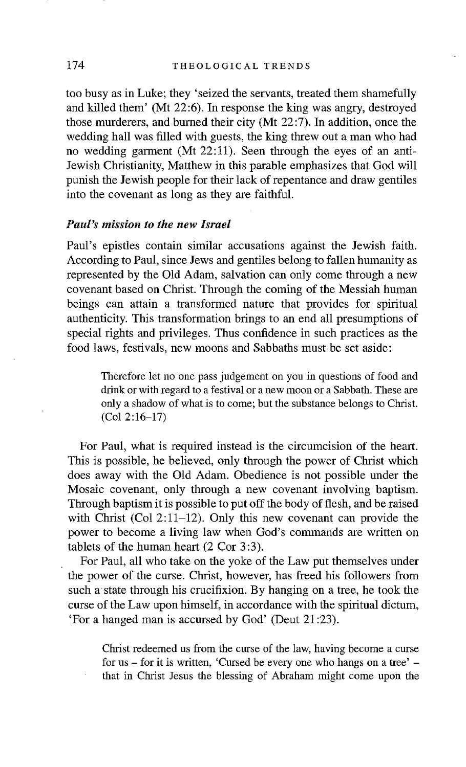too busy as in Luke; they 'seized the servants, treated them shamefully and killed them' (Mt 22:6). In response the king was angry, destroyed those murderers, and burned their city (Mt 22:7). In addition, once the wedding hall was filled with guests, the king threw out a man who had no wedding garment (Mt 22:11). Seen through the eyes of an anti-Jewish Christianity, Matthew in this parable emphasizes that God will punish the Jewish people for their lack of repentance and draw gentiles into the covenant as long as they are faithful.

#### *Paul's mission to the new Israel*

Paul's epistles contain similar accusations against the Jewish faith. According to Paul, since Jews and gentiles belong to fallen humanity as represented by the Old Adam, salvation can only come through a new covenant based on Christ. Through the coming of the Messiah human beings can attain a transformed nature that provides for spiritual authenticity. This transformation brings to an end all presumptions of special rights and privileges. Thus confidence in such practices as the food laws, festivals, new moons and Sabbaths must be set aside:

Therefore let no one pass judgement on you in questions of food and drink or with regard to a festival or a new moon or a Sabbath. These are only a shadow of what is to come; but the substance belongs to Christ. (Col 2:16-17)

For Paul, what is required instead is the circumcision of the heart. This is possible, he believed, only through the power of Christ which does away with the Old Adam. Obedience is not possible under the Mosaic covenant, only through a new covenant involving baptism. Through baptism it is possible to put off the body of flesh, and be raised with Christ (Col 2:11-12). Only this new covenant can provide the power to become a living law when God's commands are written on tablets of the human heart  $(2 \text{ Cor } 3:3)$ .

For Paul, all who take on the yoke of the Law put themselves under the power of the curse. Christ, however, has freed his followers from such a state through his crucifixion. By hanging on a tree, he took the curse of the Law upon himself, in accordance with the spiritual dictum, 'For a hanged man is accursed by God' (Deut 21:23).

Christ redeemed us from the curse of the law, having become a curse for us  $-$  for it is written, 'Cursed be every one who hangs on a tree'  $$ that in Christ Jesus the blessing of Abraham might come upon the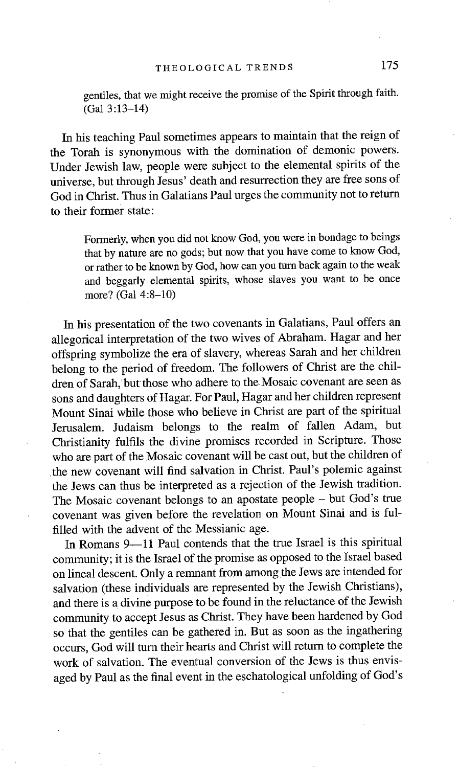gentiles, that we might receive the promise of the Spirit through faith. (Gal 3:13-14)

In his teaching Paul sometimes appears to maintain that the reign of the Torah is synonymous with the domination of demonic powers. Under Jewish law, people were subject to the elemental spirits of the universe, but through Jesus' death and resurrection they are free sons of God in Christ. Thus in Galatians Paul urges the community not to return to their former state:

Formerly, when you did not know God, you were in bondage to beings that by nature are no gods; but now that you have come to know God, or rather to be known by God, how can you turn back again to the weak and beggarly elemental spirits, whose slaves you want to be once more? (Gal 4:8-10)

In his presentation of the two covenants in Galatians, Paul offers an allegorical interpretation of the two wives of Abraham. Hagar and her offspring symbolize the era of slavery, whereas Sarah and her children belong to the period of freedom. The followers of Christ are the children of Sarah, but those who adhere to the Mosaic covenant are seen as sons and daughters of Hagar. For Paul, Hagar and her children represent Mount Sinai while those who believe in Christ are part of the spiritual Jerusalem. Judaism belongs to the realm of fallen Adam, but Christianity fulfils the divine promises recorded in Scripture. Those who are part of the Mosaic covenant will be cast out, but the children of the new covenant will find salvation in Christ. Paul's polemic against the Jews can thus be interpreted as a rejection of the Jewish tradition. The Mosaic covenant belongs to an apostate people – but God's true covenant was given before the revelation on Mount Sinai and is fulfilled with the advent of the Messianic age.

In Romans 9-11 Paul contends that the true Israel is this spiritual community; it is the Israel of the promise as opposed to the Israel based on lineal descent. Only a remnant from among the Jews are intended for salvation (these individuals are represented by the Jewish Christians), and there is a divine purpose to be found in the reluctance of the Jewish community to accept Jesus as Christ. They have been hardened by God so that the gentiles can be gathered in. But as soon as the ingathering occurs, God will turn their hearts and Christ will return to complete the work of salvation. The eventual conversion of the Jews is thus envisaged by Paul as the final event in the eschatological unfolding of God's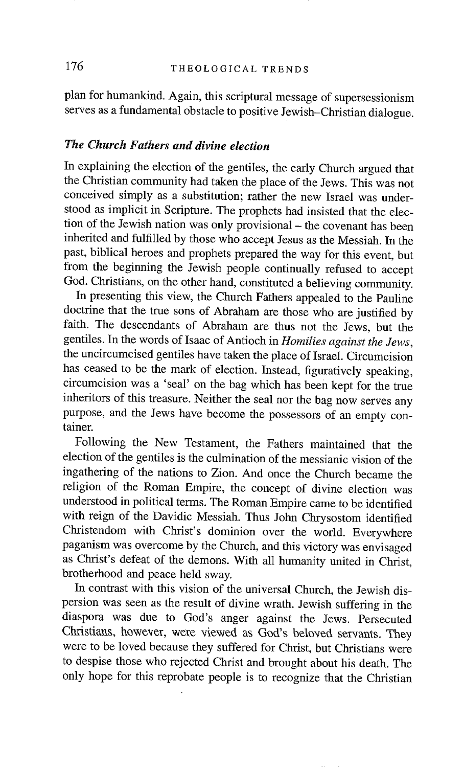plan for humankind. Again, this scriptural message of supersessionism serves as a fundamental obstacle to positive Jewish-Christian dialogue.

### *The Church Fathers and divine election*

In explaining the election of the gentiles, the early Church argued that the Christian community had taken the place of the Jews. This was not conceived simply as a substitution; rather the new Israel was understood as implicit in Scripture. The prophets had insisted that the election of the Jewish nation was only provisional – the covenant has been inherited and fulfilled by those who accept Jesus as the Messiah. In the past, biblical heroes and prophets prepared the way for this event, but from the beginning the Jewish people continually refused to accept God. Christians, on the other hand, constituted a believing community.

In presenting this view, the Church Fathers appealed to the Pauline doctrine that the true sons of Abraham are those who are justified by faith. The descendants of Abraham are thus not the Jews, but the gentiles. In the words of Isaac of Antioch in *Homilies against the Jews,*  the uncircumcised gentiles have taken the place of Israel. Circumcision has ceased to be the mark of election. Instead, figuratively speaking, circumcision was a 'seal' on the bag which has been kept for the true inheritors of this treasure. Neither the seal nor the bag now serves any purpose, and the Jews have become the possessors of an empty container.

Following the New Testament, the Fathers maintained that the election of the gentiles is the culmination of the messianic vision of the ingathering of the nations to Zion. And once the Church became the religion of the Roman Empire, the concept of divine election was understood in political terms. The Roman Empire came to be identified with reign of the Davidic Messiah. Thus John Chrysostom identified Christendom with Christ's dominion over the world. Everywhere paganism was overcome by the Church, and this victory was envisaged as Christ's defeat of the demons. With all humanity united in Christ, brotherhood and peace held sway.

In contrast with this vision of the universal Church, the Jewish dispersion was seen as the result of divine wrath. Jewish suffering in the diaspora was due to God's anger against the Jews. Persecuted Christians, however, were viewed as God's beloved servants. They were to be loved because they suffered for Christ, but Christians were to despise those who rejected Christ and brought about his death. The only hope for this reprobate people is to recognize that the Christian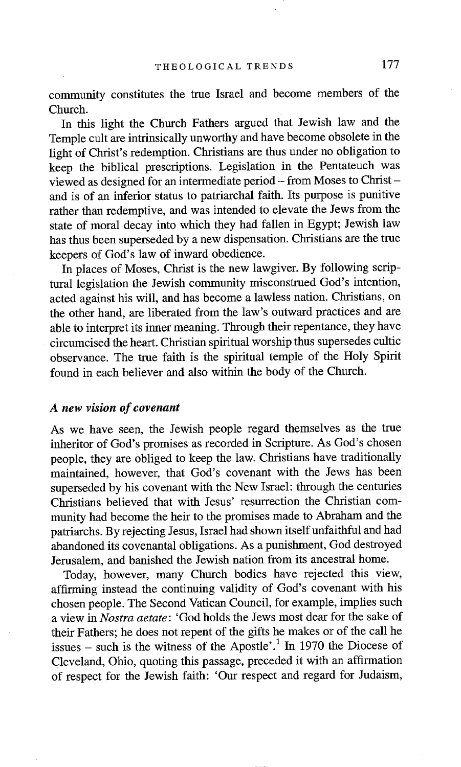community constitutes the true Israel and become members of the Church.

In this light the Church Fathers argued that Jewish law and the Temple cult are intrinsically unworthy and have become obsolete in the light of Christ's redemption. Christians are thus under no obligation to keep the biblical prescriptions. Legislation in the Pentateuch was viewed as designed for an intermediate period - from Moses to Christ and is of an inferior status to patriarchal faith. Its purpose is punitive rather than redemptive, and was intended to elevate the Jews from the state of moral decay into which they had fallen in Egypt; Jewish law has thus been superseded by a new dispensation. Christians are the true keepers of God's law of inward obedience.

In places of Moses, Christ is the new lawgiver. By following scriptural legislation the Jewish community misconstrued God's intention, acted against his will, and has become a lawless nation. Christians, on the other hand, are liberated from the law's outward practices and are able to interpret its inner meaning. Through their repentance, they have circumcised the heart. Christian spiritual worship thus supersedes cultic observance. The true faith is the spiritual temple of the Holy Spirit found in each believer and also within the body of the Church.

#### *A new vision of covenant*

As we have seen, the Jewish people regard themselves as the true inheritor of God's promises as recorded in Scripture. As God's chosen people, they are obliged to keep the law. Christians have traditionally maintained, however, that God's covenant with the Jews has been superseded by his covenant with the New Israel: through the centuries Christians believed that with Jesus' resurrection the Christian community had become the heir to the promises made to Abraham and the patriarchs. By rejecting Jesus, Israel had shown itself unfaithful and had abandoned its covenantal obligations. As a punishment, God destroyed Jerusalem, and banished the Jewish nation from its ancestral home.

Today, however, many Church bodies have rejected this view, affirming instead the continuing validity of God's covenant with his chosen people. The Second Vatican Council, for example, implies such a view in *Nostra aetate:* 'God holds the Jews most dear for the sake of their Fathers; he does not repent of the gifts he makes or of the call he issues – such is the witness of the Apostle'.<sup>1</sup> In 1970 the Diocese of Cleveland, Ohio, quoting this passage, preceded it with an affirmation of respect for the Jewish faith: 'Our respect and regard for Judaism,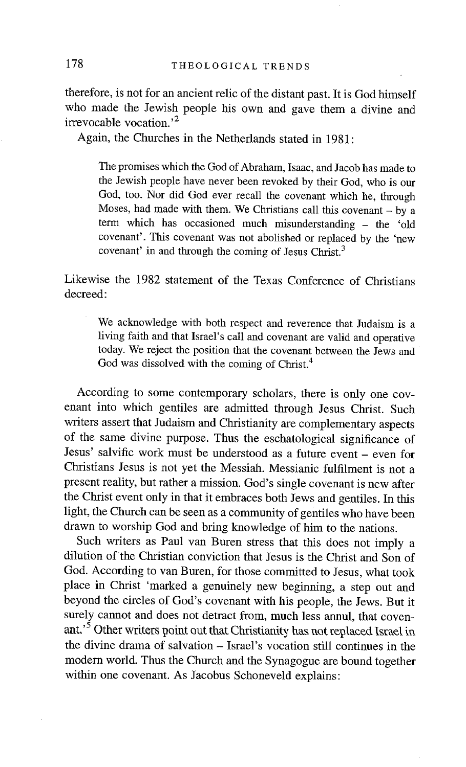therefore, is not for an ancient relic of the distant past. It is God himself who made the Jewish people his own and gave them a divine and irrevocable vocation. '2

Again, the Churches in the Netherlands stated in 1981:

The promises which the God of Abraham, Isaac, and Jacob has made to the Jewish people have never been revoked by their God, who is our God, too. Nor did God ever recall the covenant which he, through Moses, had made with them. We Christians call this covenant  $-$  by a term which has occasioned much misunderstanding - the 'old covenant'. This covenant was not abolished or replaced by the 'new covenant' in and through the coming of Jesus Christ.<sup>3</sup>

Likewise the 1982 statement of the Texas Conference of Christians decreed:

We acknowledge with both respect and reverence that Judaism is a living faith and that Israel's call and covenant are valid and operative today. We reject the position that the covenant between the Jews and God was dissolved with the coming of Christ.<sup>4</sup>

According to some contemporary scholars, there is only one covenant into which gentiles are admitted through Jesus Christ. Such writers assert that Judaism and Christianity are complementary aspects of the same divine purpose. Thus the eschatological significance of Jesus' salvific work must be understood as a future event - even for Christians Jesus is not yet the Messiah. Messianic fulfilment is not a present reality, but rather a mission. God's single covenant is new after the Christ event only in that it embraces both Jews and gentiles. In this light, the Church can be seen as a community of gentiles who have been drawn to worship God and bring knowledge of him to the nations.

Such writers as Paul van Buren stress that this does not imply a dilution of the Christian conviction that Jesus is the Christ and Son of God. According to van Buren, for those committed to Jesus, what took place in Christ 'marked a genuinely new beginning, a step out and beyond the circles of God's covenant with his people, the Jews. But it surely cannot and does not detract from, much less annul, that covenant.<sup>5</sup> Other writers point out that Christianity has not replaced Israel in the divine drama of salvation - Israel's vocation still continues in the modem world. Thus the Church and the Synagogue are bound together within one covenant. As Jacobus Schoneveld explains: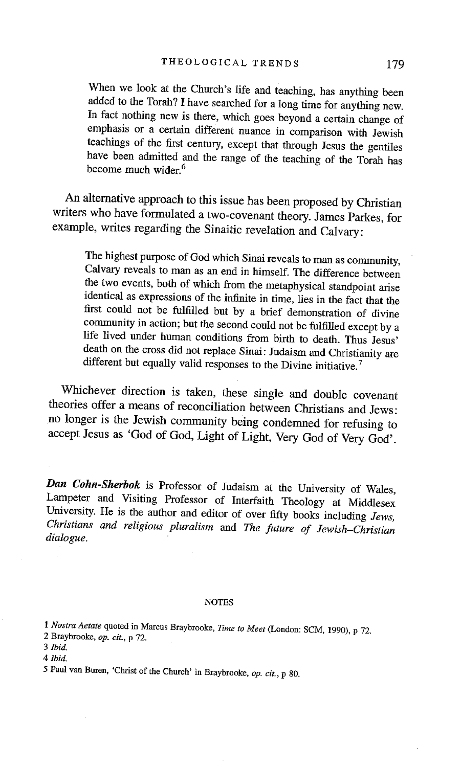When we look at the Church's life and teaching, has anything been added to the Torah? I have searched for a long time for anything new. In fact nothing new is there, which goes beyond a certain change of emphasis or a certain different nuance in comparison with Jewish teachings of the first century, except that through Jesus the gentiles have been admitted and the range of the teaching of the Torah has become much wider. 6

An alternative approach to this issue has been proposed by Christian writers who have formulated a two-covenant theory. James Parkes, for example, writes regarding the Sinaitic revelation and Calvary:

The highest purpose of God which Sinai reveals to man as community, Calvary reveals to man as an end in himself. The difference between the two events, both of which from the metaphysical standpoint arise identical as expressions of the infinite in time, lies in the fact that the first could not be fulfilled but by a brief demonstration of divine community in action; but the second could not be fulfilled except by a life lived under human conditions from birth to death. Thus Jesus' death on the cross did not replace Sinai: Judaism and Christianity are different but equally valid responses to the Divine initiative.<sup>7</sup>

Whichever direction is taken, these single and double covenant theories offer a means of reconciliation between Christians and Jews: no longer is the Jewish community being condenmed for refusing to accept Jesus as 'God of God, Light of Light, Very God of Very God'.

*Dan Cohn-Sherbok* is Professor of Judaism at the University of Wales, Lampeter and Visiting Professor of Interfaith Theology at Middlesex University. He is the author and editor of over fifty books including *Jews, Christians and religious pluralism* and The *future of Jewish-Christian dialogue.* 

#### **NOTES**

2 Braybrooke, *op. cir.,* p 72.

*3 Ibid.* 

*4 Ibid.* 

*<sup>1</sup> Nostra Aerate* quoted in Marcus Braybrooke, *"lime to Meet* (London: SCM, 1990), p 72.

<sup>5</sup> Paul van Baren, 'Christ of the Church' in Braybrooke, *op. eit.,* p 80.